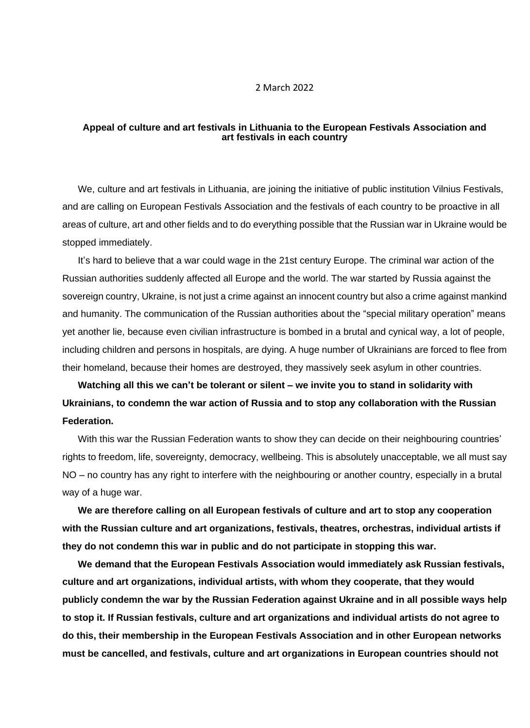## 2 March 2022

## **Appeal of culture and art festivals in Lithuania to the European Festivals Association and art festivals in each country**

We, culture and art festivals in Lithuania, are joining the initiative of public institution Vilnius Festivals, and are calling on European Festivals Association and the festivals of each country to be proactive in all areas of culture, art and other fields and to do everything possible that the Russian war in Ukraine would be stopped immediately.

It's hard to believe that a war could wage in the 21st century Europe. The criminal war action of the Russian authorities suddenly affected all Europe and the world. The war started by Russia against the sovereign country, Ukraine, is not just a crime against an innocent country but also a crime against mankind and humanity. The communication of the Russian authorities about the "special military operation" means yet another lie, because even civilian infrastructure is bombed in a brutal and cynical way, a lot of people, including children and persons in hospitals, are dying. A huge number of Ukrainians are forced to flee from their homeland, because their homes are destroyed, they massively seek asylum in other countries.

## **Watching all this we can't be tolerant or silent – we invite you to stand in solidarity with Ukrainians, to condemn the war action of Russia and to stop any collaboration with the Russian Federation.**

With this war the Russian Federation wants to show they can decide on their neighbouring countries' rights to freedom, life, sovereignty, democracy, wellbeing. This is absolutely unacceptable, we all must say NO – no country has any right to interfere with the neighbouring or another country, especially in a brutal way of a huge war.

**We are therefore calling on all European festivals of culture and art to stop any cooperation with the Russian culture and art organizations, festivals, theatres, orchestras, individual artists if they do not condemn this war in public and do not participate in stopping this war.**

**We demand that the European Festivals Association would immediately ask Russian festivals, culture and art organizations, individual artists, with whom they cooperate, that they would publicly condemn the war by the Russian Federation against Ukraine and in all possible ways help to stop it. If Russian festivals, culture and art organizations and individual artists do not agree to do this, their membership in the European Festivals Association and in other European networks must be cancelled, and festivals, culture and art organizations in European countries should not**